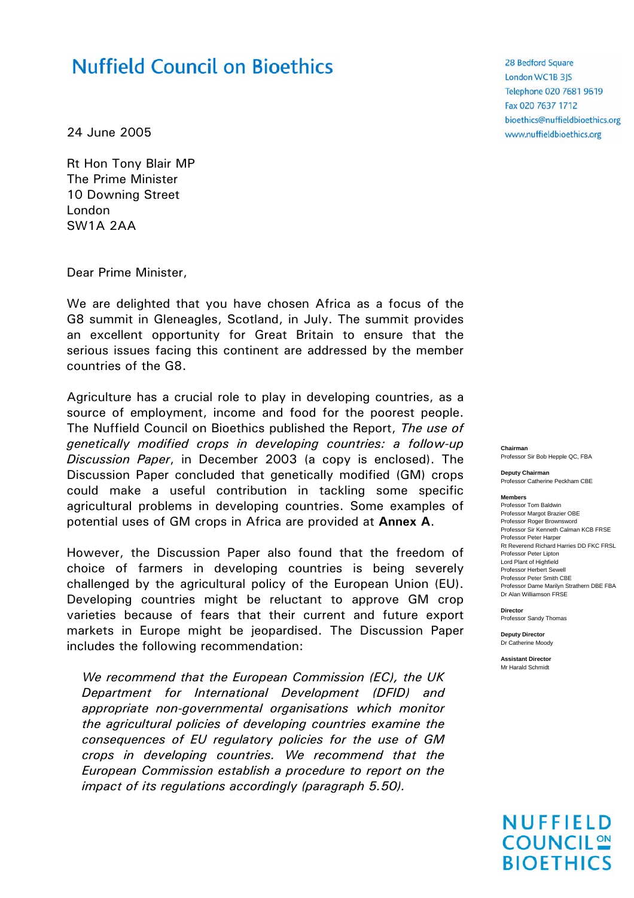# **Nuffield Council on Bioethics**

24 June 2005

Rt Hon Tony Blair MP The Prime Minister 10 Downing Street London SW1A 2AA

Dear Prime Minister,

We are delighted that you have chosen Africa as a focus of the G8 summit in Gleneagles, Scotland, in July. The summit provides an excellent opportunity for Great Britain to ensure that the serious issues facing this continent are addressed by the member countries of the G8.

Agriculture has a crucial role to play in developing countries, as a source of employment, income and food for the poorest people. The Nuffield Council on Bioethics published the Report, *The use of genetically modified crops in developing countries: a follow-up Discussion Paper*, in December 2003 (a copy is enclosed). The Discussion Paper concluded that genetically modified (GM) crops could make a useful contribution in tackling some specific agricultural problems in developing countries. Some examples of potential uses of GM crops in Africa are provided at **Annex A**.

However, the Discussion Paper also found that the freedom of choice of farmers in developing countries is being severely challenged by the agricultural policy of the European Union (EU). Developing countries might be reluctant to approve GM crop varieties because of fears that their current and future export markets in Europe might be jeopardised. The Discussion Paper includes the following recommendation:

*We recommend that the European Commission (EC), the UK Department for International Development (DFID) and appropriate non-governmental organisations which monitor the agricultural policies of developing countries examine the consequences of EU regulatory policies for the use of GM crops in developing countries. We recommend that the European Commission establish a procedure to report on the impact of its regulations accordingly (paragraph 5.50).* 

28 Bedford Square London WC1B 3JS Telephone 020 7681 9619 Fax 020 7637 1712 bioethics@nuffieldbioethics.org www.nuffieldbioethics.org

**Chairman**  Professor Sir Bob Hepple QC, FBA

**Deputy Chairman**  Professor Catherine Peckham CBE

**Members** Professor Tom Baldwin Professor Margot Brazier OBE Professor Roger Brownsword Professor Sir Kenneth Calman KCB FRSE Professor Peter Harper Rt Reverend Richard Harries DD FKC FRSL Professor Peter Lipton Lord Plant of Highfield Professor Herbert Sewell Professor Peter Smith CBE Professor Dame Marilyn Strathern DBE FBA Dr Alan Williamson FRSE

**Director** Professor Sandy Thomas

**Deputy Director** Dr Catherine Moody

**Assistant Director** Mr Harald Schmidt

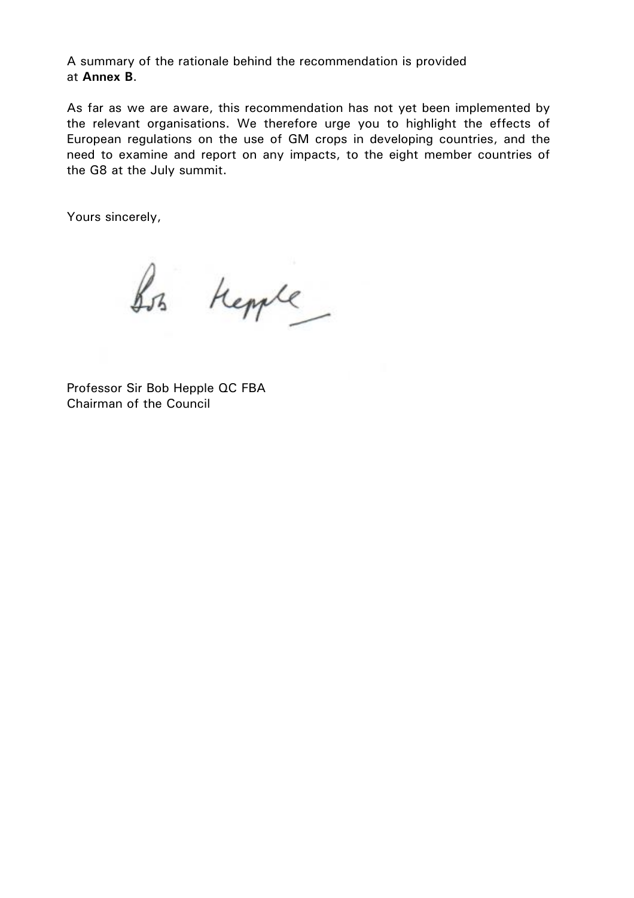A summary of the rationale behind the recommendation is provided at **Annex B**.

As far as we are aware, this recommendation has not yet been implemented by the relevant organisations. We therefore urge you to highlight the effects of European regulations on the use of GM crops in developing countries, and the need to examine and report on any impacts, to the eight member countries of the G8 at the July summit.

Yours sincerely,

Sos Kepple

Professor Sir Bob Hepple QC FBA Chairman of the Council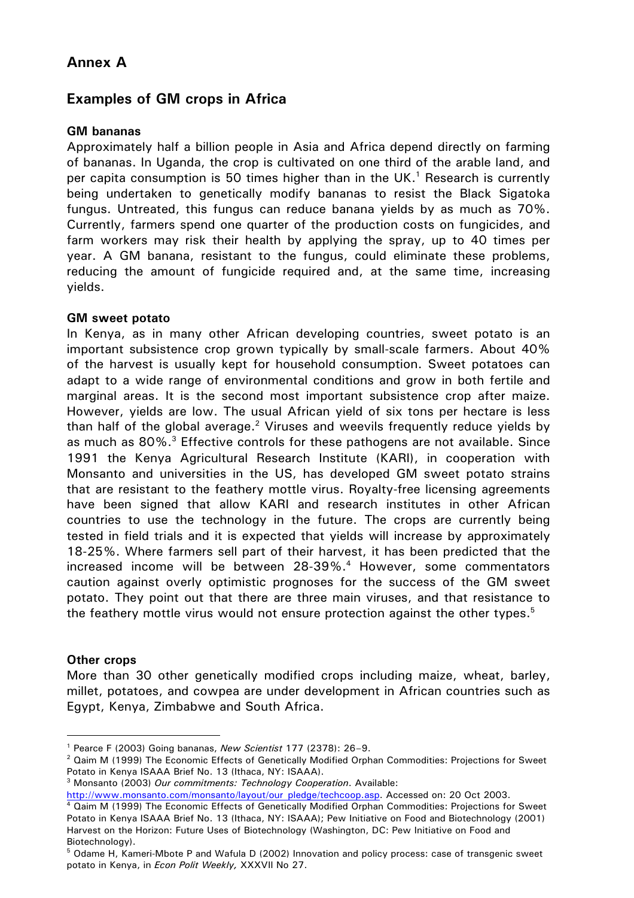# **Annex A**

## **Examples of GM crops in Africa**

### **GM bananas**

Approximately half a billion people in Asia and Africa depend directly on farming of bananas. In Uganda, the crop is cultivated on one third of the arable land, and per capita consumption is 50 times higher than in the UK.<sup>1</sup> Research is currently being undertaken to genetically modify bananas to resist the Black Sigatoka fungus. Untreated, this fungus can reduce banana yields by as much as 70%. Currently, farmers spend one quarter of the production costs on fungicides, and farm workers may risk their health by applying the spray, up to 40 times per year. A GM banana, resistant to the fungus, could eliminate these problems, reducing the amount of fungicide required and, at the same time, increasing yields.

#### **GM sweet potato**

In Kenya, as in many other African developing countries, sweet potato is an important subsistence crop grown typically by small-scale farmers. About 40% of the harvest is usually kept for household consumption. Sweet potatoes can adapt to a wide range of environmental conditions and grow in both fertile and marginal areas. It is the second most important subsistence crop after maize. However, yields are low. The usual African yield of six tons per hectare is less than half of the global average.<sup>2</sup> Viruses and weevils frequently reduce yields by as much as 80%.<sup>3</sup> Effective controls for these pathogens are not available. Since 1991 the Kenya Agricultural Research Institute (KARI), in cooperation with Monsanto and universities in the US, has developed GM sweet potato strains that are resistant to the feathery mottle virus. Royalty-free licensing agreements have been signed that allow KARI and research institutes in other African countries to use the technology in the future. The crops are currently being tested in field trials and it is expected that yields will increase by approximately 18-25%. Where farmers sell part of their harvest, it has been predicted that the increased income will be between 28-39%.<sup>4</sup> However, some commentators caution against overly optimistic prognoses for the success of the GM sweet potato. They point out that there are three main viruses, and that resistance to the feathery mottle virus would not ensure protection against the other types.<sup>5</sup>

#### **Other crops**

More than 30 other genetically modified crops including maize, wheat, barley, millet, potatoes, and cowpea are under development in African countries such as Egypt, Kenya, Zimbabwe and South Africa.

<sup>1</sup> Pearce F (2003) Going bananas, *New Scientist* 177 (2378): 26–9. 2

<sup>&</sup>lt;sup>2</sup> Qaim M (1999) The Economic Effects of Genetically Modified Orphan Commodities: Projections for Sweet Potato in Kenya ISAAA Brief No. 13 (Ithaca, NY: ISAAA).

<sup>3</sup> Monsanto (2003) *Our commitments: Technology Cooperation*. Available:

http://www.monsanto.com/monsanto/layout/our\_pledge/techcoop.asp. Accessed on: 20 Oct 2003.

<sup>&</sup>lt;sup>4</sup> Qaim M (1999) The Economic Effects of Genetically Modified Orphan Commodities: Projections for Sweet Potato in Kenya ISAAA Brief No. 13 (Ithaca, NY: ISAAA); Pew Initiative on Food and Biotechnology (2001) Harvest on the Horizon: Future Uses of Biotechnology (Washington, DC: Pew Initiative on Food and Biotechnology).

<sup>5</sup> Odame H, Kameri-Mbote P and Wafula D (2002) Innovation and policy process: case of transgenic sweet potato in Kenya, in *Econ Polit Weekly,* XXXVII No 27.